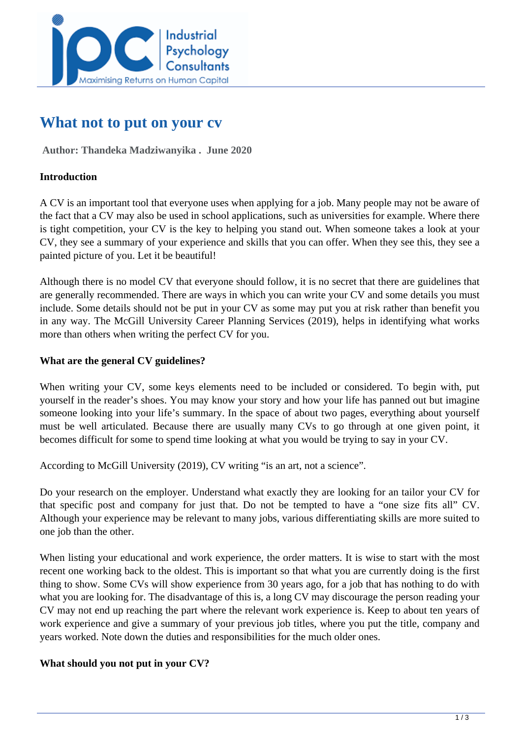

# **What not to put on your cv**

 **Author: Thandeka Madziwanyika . June 2020** 

## **Introduction**

A CV is an important tool that everyone uses when applying for a job. Many people may not be aware of the fact that a CV may also be used in school applications, such as universities for example. Where there is tight competition, your CV is the key to helping you stand out. When someone takes a look at your CV, they see a summary of your experience and skills that you can offer. When they see this, they see a painted picture of you. Let it be beautiful!

Although there is no model CV that everyone should follow, it is no secret that there are guidelines that are generally recommended. There are ways in which you can write your CV and some details you must include. Some details should not be put in your CV as some may put you at risk rather than benefit you in any way. The McGill University Career Planning Services (2019), helps in identifying what works more than others when writing the perfect CV for you.

#### **What are the general CV guidelines?**

When writing your CV, some keys elements need to be included or considered. To begin with, put yourself in the reader's shoes. You may know your story and how your life has panned out but imagine someone looking into your life's summary. In the space of about two pages, everything about yourself must be well articulated. Because there are usually many CVs to go through at one given point, it becomes difficult for some to spend time looking at what you would be trying to say in your CV.

According to McGill University (2019), CV writing "is an art, not a science".

Do your research on the employer. Understand what exactly they are looking for an tailor your CV for that specific post and company for just that. Do not be tempted to have a "one size fits all" CV. Although your experience may be relevant to many jobs, various differentiating skills are more suited to one job than the other.

When listing your educational and work experience, the order matters. It is wise to start with the most recent one working back to the oldest. This is important so that what you are currently doing is the first thing to show. Some CVs will show experience from 30 years ago, for a job that has nothing to do with what you are looking for. The disadvantage of this is, a long CV may discourage the person reading your CV may not end up reaching the part where the relevant work experience is. Keep to about ten years of work experience and give a summary of your previous job titles, where you put the title, company and years worked. Note down the duties and responsibilities for the much older ones.

## **What should you not put in your CV?**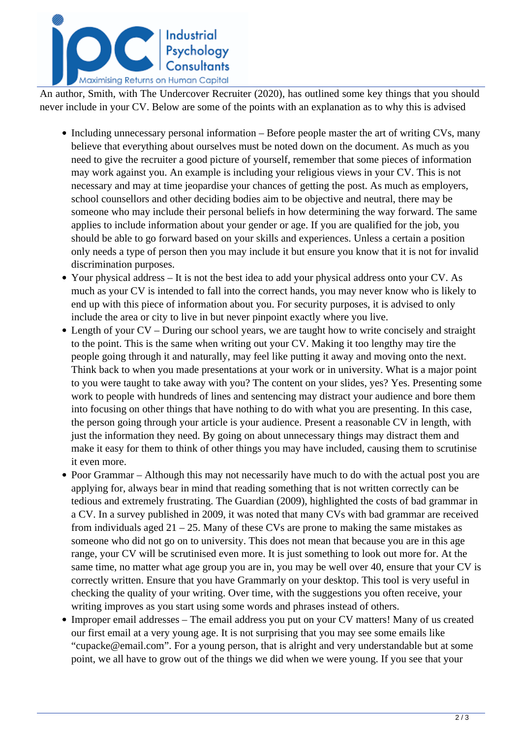

An author, Smith, with The Undercover Recruiter (2020), has outlined some key things that you should never include in your CV. Below are some of the points with an explanation as to why this is advised

- Including unnecessary personal information Before people master the art of writing CVs, many believe that everything about ourselves must be noted down on the document. As much as you need to give the recruiter a good picture of yourself, remember that some pieces of information may work against you. An example is including your religious views in your CV. This is not necessary and may at time jeopardise your chances of getting the post. As much as employers, school counsellors and other deciding bodies aim to be objective and neutral, there may be someone who may include their personal beliefs in how determining the way forward. The same applies to include information about your gender or age. If you are qualified for the job, you should be able to go forward based on your skills and experiences. Unless a certain a position only needs a type of person then you may include it but ensure you know that it is not for invalid discrimination purposes.
- Your physical address It is not the best idea to add your physical address onto your CV. As much as your CV is intended to fall into the correct hands, you may never know who is likely to end up with this piece of information about you. For security purposes, it is advised to only include the area or city to live in but never pinpoint exactly where you live.
- Length of your CV During our school years, we are taught how to write concisely and straight to the point. This is the same when writing out your CV. Making it too lengthy may tire the people going through it and naturally, may feel like putting it away and moving onto the next. Think back to when you made presentations at your work or in university. What is a major point to you were taught to take away with you? The content on your slides, yes? Yes. Presenting some work to people with hundreds of lines and sentencing may distract your audience and bore them into focusing on other things that have nothing to do with what you are presenting. In this case, the person going through your article is your audience. Present a reasonable CV in length, with just the information they need. By going on about unnecessary things may distract them and make it easy for them to think of other things you may have included, causing them to scrutinise it even more.
- Poor Grammar Although this may not necessarily have much to do with the actual post you are applying for, always bear in mind that reading something that is not written correctly can be tedious and extremely frustrating. The Guardian (2009), highlighted the costs of bad grammar in a CV. In a survey published in 2009, it was noted that many CVs with bad grammar are received from individuals aged  $21 - 25$ . Many of these CVs are prone to making the same mistakes as someone who did not go on to university. This does not mean that because you are in this age range, your CV will be scrutinised even more. It is just something to look out more for. At the same time, no matter what age group you are in, you may be well over 40, ensure that your CV is correctly written. Ensure that you have Grammarly on your desktop. This tool is very useful in checking the quality of your writing. Over time, with the suggestions you often receive, your writing improves as you start using some words and phrases instead of others.
- Improper email addresses The email address you put on your CV matters! Many of us created our first email at a very young age. It is not surprising that you may see some emails like "cupacke@email.com". For a young person, that is alright and very understandable but at some point, we all have to grow out of the things we did when we were young. If you see that your